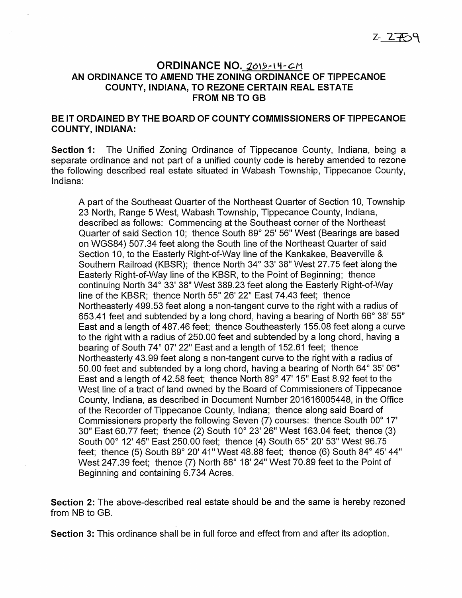## ORDINANCE NO. 2019-14-CM AN ORDINANCE TO AMEND THE ZONING ORDINANCE OF TIPPECANOE COUNTY, INDIANA, TO REZONE CERTAIN REAL ESTATE FROM NB TO GB

## BE IT ORDAINED BY THE BOARD OF COUNTY COMMISSIONERS OF TIPPECANOE COUNTY, INDIANA:

Section 1: The Unified Zoning Ordinance of Tippecanoe County, Indiana, being <sup>a</sup> separate ordinance and not part of <sup>a</sup> unified county code is hereby amended to rezone the following described real estate situated in Wabash Township, Tippecanoe County, Indiana:

A part of the Southeast Quarter of the Northeast Quarter of Section 10, Township 23 North, Range 5 West, Wabash Township, Tippecanoe County, Indiana, described as follows: Commencing at the Southeast corner of the Northeast Quarter of said Section 10; thence South 89° 25'56" West (Bearings are based on WGS84) 507.34 feet along the South line of the Northeast Quarter of said Section 10, to the Easterly Right-of-Way line of the Kankakee, Beaverville & Southern Railroad (KBSR); thence North 34° 33' 38" West 27.75 feet along the Easterly Right—of—Way line of the KBSR, to the Point of Beginning; thence continuing North 34° 33' 38" West 389.23 feet along the Easterly Right-of—Way line of the KBSR; thence North 55° 26' 22" East 74.43 feet; thence Northeasterly 499.53 feet along <sup>a</sup> non-tangent curve to the right with <sup>a</sup> radius of 653.41 feet and subtended by <sup>a</sup> long chord, having <sup>a</sup> bearing of North 66° 38' 55" East and <sup>a</sup> length of 487.46 feet; thence Southeasterly 155.08 feet along <sup>a</sup> curve to the right with <sup>a</sup> radius of 250.00 feet and subtended by <sup>a</sup> long chord, having <sup>a</sup> bearing of South 74° 07' 22" East and <sup>a</sup> length of 152.61 feet; thence Northeasterly 43.99 feet along a non-tangent curve to the right with a radius of 50.00 feet and subtended by <sup>a</sup> long chord, having <sup>a</sup> bearing of North 64° 35' 06" East and <sup>a</sup> length of 42.58 feet; thence North 89° 47'15" East 8.92 feet to the West line of <sup>a</sup> tract of land owned by the Board of Commissioners of Tippecanoe County, Indiana, as described in Document Number 201616005448, in the Office of the Recorder of Tippecanoe County, Indiana; thence along said Board of Commissioners property the following Seven (7) courses: thence South 00° 17' 30" East 60.77 feet; thence (2) South 10° 23'26" West 163.04 feet; thence (3) South 00° 12' 45" East 250.00 feet; thence (4) South 65° 20' 53" West 96.75 feet; thence (5) South 89° 20'41" West 48.88 feet; thence (6) South 84° 45'44" West 247.39 feet; thence (7) North 88° 18' 24" West 70.89 feet to the Point of Beginning and containing 6.734 Acres.

Section 2: The above-described real estate should be and the same is hereby rezoned from NB to GB.

Section 3: This ordinance shall be in full force and effect from and after its adoption.